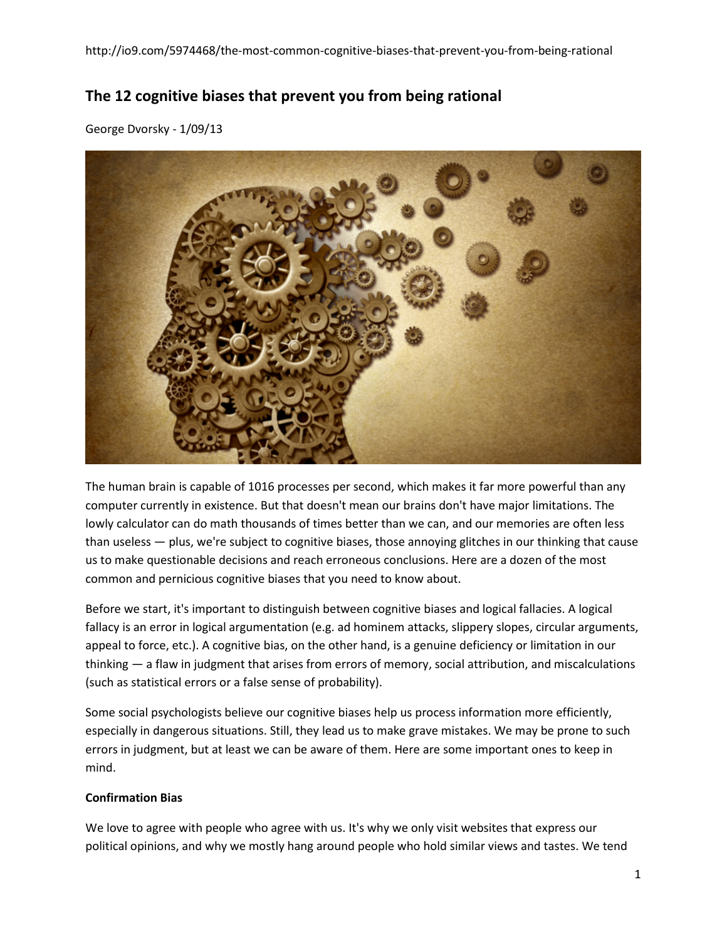# **The 12 cognitive biases that prevent you from being rational**

George Dvorsky - 1/09/13



The human brain is capable of 1016 processes per second, which makes it far more powerful than any computer currently in existence. But that doesn't mean our brains don't have major limitations. The lowly calculator can do math thousands of times better than we can, and our memories are often less than useless — plus, we're subject to cognitive biases, those annoying glitches in our thinking that cause us to make questionable decisions and reach erroneous conclusions. Here are a dozen of the most common and pernicious cognitive biases that you need to know about.

Before we start, it's important to distinguish between cognitive biases and logical fallacies. A logical fallacy is an error in logical argumentation (e.g. ad hominem attacks, slippery slopes, circular arguments, appeal to force, etc.). A cognitive bias, on the other hand, is a genuine deficiency or limitation in our thinking — a flaw in judgment that arises from errors of memory, social attribution, and miscalculations (such as statistical errors or a false sense of probability).

Some social psychologists believe our cognitive biases help us process information more efficiently, especially in dangerous situations. Still, they lead us to make grave mistakes. We may be prone to such errors in judgment, but at least we can be aware of them. Here are some important ones to keep in mind.

# **Confirmation Bias**

We love to agree with people who agree with us. It's why we only visit websites that express our political opinions, and why we mostly hang around people who hold similar views and tastes. We tend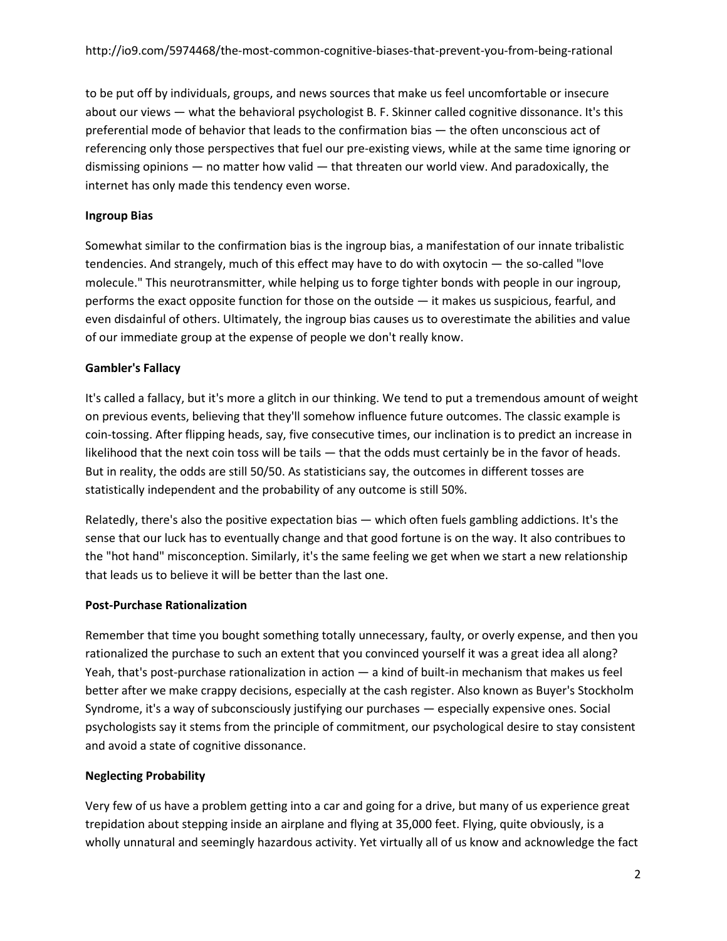to be put off by individuals, groups, and news sources that make us feel uncomfortable or insecure about our views — what the behavioral psychologist B. F. Skinner called cognitive dissonance. It's this preferential mode of behavior that leads to the confirmation bias — the often unconscious act of referencing only those perspectives that fuel our pre-existing views, while at the same time ignoring or dismissing opinions — no matter how valid — that threaten our world view. And paradoxically, the internet has only made this tendency even worse.

## **Ingroup Bias**

Somewhat similar to the confirmation bias is the ingroup bias, a manifestation of our innate tribalistic tendencies. And strangely, much of this effect may have to do with oxytocin — the so-called "love molecule." This neurotransmitter, while helping us to forge tighter bonds with people in our ingroup, performs the exact opposite function for those on the outside — it makes us suspicious, fearful, and even disdainful of others. Ultimately, the ingroup bias causes us to overestimate the abilities and value of our immediate group at the expense of people we don't really know.

## **Gambler's Fallacy**

It's called a fallacy, but it's more a glitch in our thinking. We tend to put a tremendous amount of weight on previous events, believing that they'll somehow influence future outcomes. The classic example is coin-tossing. After flipping heads, say, five consecutive times, our inclination is to predict an increase in likelihood that the next coin toss will be tails — that the odds must certainly be in the favor of heads. But in reality, the odds are still 50/50. As statisticians say, the outcomes in different tosses are statistically independent and the probability of any outcome is still 50%.

Relatedly, there's also the positive expectation bias — which often fuels gambling addictions. It's the sense that our luck has to eventually change and that good fortune is on the way. It also contribues to the "hot hand" misconception. Similarly, it's the same feeling we get when we start a new relationship that leads us to believe it will be better than the last one.

#### **Post-Purchase Rationalization**

Remember that time you bought something totally unnecessary, faulty, or overly expense, and then you rationalized the purchase to such an extent that you convinced yourself it was a great idea all along? Yeah, that's post-purchase rationalization in action — a kind of built-in mechanism that makes us feel better after we make crappy decisions, especially at the cash register. Also known as Buyer's Stockholm Syndrome, it's a way of subconsciously justifying our purchases — especially expensive ones. Social psychologists say it stems from the principle of commitment, our psychological desire to stay consistent and avoid a state of cognitive dissonance.

# **Neglecting Probability**

Very few of us have a problem getting into a car and going for a drive, but many of us experience great trepidation about stepping inside an airplane and flying at 35,000 feet. Flying, quite obviously, is a wholly unnatural and seemingly hazardous activity. Yet virtually all of us know and acknowledge the fact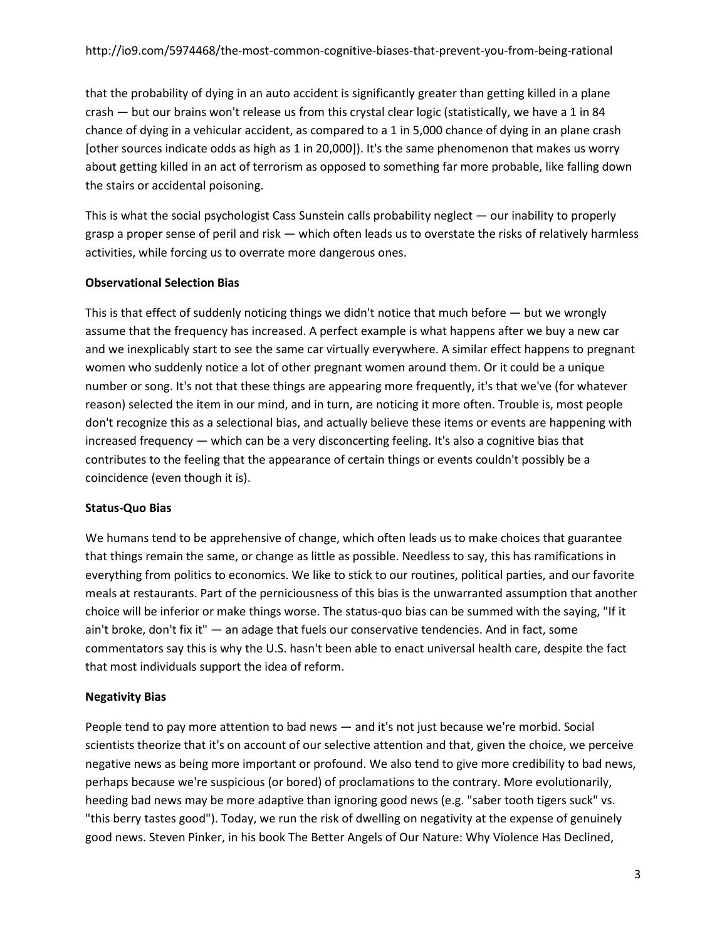that the probability of dying in an auto accident is significantly greater than getting killed in a plane crash — but our brains won't release us from this crystal clear logic (statistically, we have a 1 in 84 chance of dying in a vehicular accident, as compared to a 1 in 5,000 chance of dying in an plane crash [other sources indicate odds as high as 1 in 20,000]). It's the same phenomenon that makes us worry about getting killed in an act of terrorism as opposed to something far more probable, like falling down the stairs or accidental poisoning.

This is what the social psychologist Cass Sunstein calls probability neglect — our inability to properly grasp a proper sense of peril and risk — which often leads us to overstate the risks of relatively harmless activities, while forcing us to overrate more dangerous ones.

## **Observational Selection Bias**

This is that effect of suddenly noticing things we didn't notice that much before — but we wrongly assume that the frequency has increased. A perfect example is what happens after we buy a new car and we inexplicably start to see the same car virtually everywhere. A similar effect happens to pregnant women who suddenly notice a lot of other pregnant women around them. Or it could be a unique number or song. It's not that these things are appearing more frequently, it's that we've (for whatever reason) selected the item in our mind, and in turn, are noticing it more often. Trouble is, most people don't recognize this as a selectional bias, and actually believe these items or events are happening with increased frequency — which can be a very disconcerting feeling. It's also a cognitive bias that contributes to the feeling that the appearance of certain things or events couldn't possibly be a coincidence (even though it is).

#### **Status-Quo Bias**

We humans tend to be apprehensive of change, which often leads us to make choices that guarantee that things remain the same, or change as little as possible. Needless to say, this has ramifications in everything from politics to economics. We like to stick to our routines, political parties, and our favorite meals at restaurants. Part of the perniciousness of this bias is the unwarranted assumption that another choice will be inferior or make things worse. The status-quo bias can be summed with the saying, "If it ain't broke, don't fix it" — an adage that fuels our conservative tendencies. And in fact, some commentators say this is why the U.S. hasn't been able to enact universal health care, despite the fact that most individuals support the idea of reform.

# **Negativity Bias**

People tend to pay more attention to bad news — and it's not just because we're morbid. Social scientists theorize that it's on account of our selective attention and that, given the choice, we perceive negative news as being more important or profound. We also tend to give more credibility to bad news, perhaps because we're suspicious (or bored) of proclamations to the contrary. More evolutionarily, heeding bad news may be more adaptive than ignoring good news (e.g. "saber tooth tigers suck" vs. "this berry tastes good"). Today, we run the risk of dwelling on negativity at the expense of genuinely good news. Steven Pinker, in his book The Better Angels of Our Nature: Why Violence Has Declined,